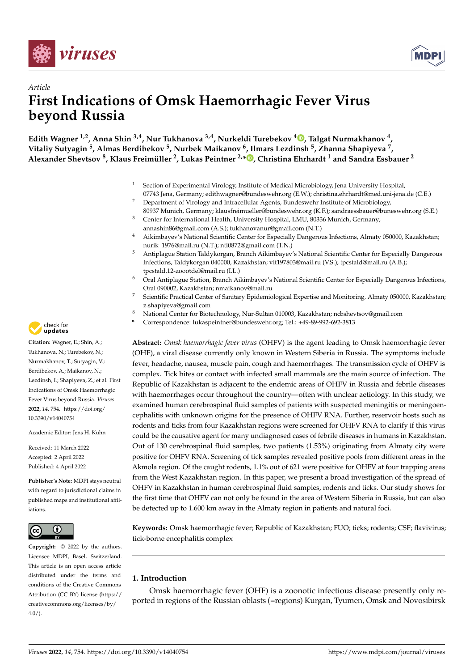



# *Article* **First Indications of Omsk Haemorrhagic Fever Virus beyond Russia**

**Edith Wagner 1,2, Anna Shin 3,4, Nur Tukhanova 3,4, Nurkeldi Turebekov [4](https://orcid.org/0000-0001-6826-2611) , Talgat Nurmakhanov <sup>4</sup> , Vitaliy Sutyagin <sup>5</sup> , Almas Berdibekov <sup>5</sup> , Nurbek Maikanov <sup>6</sup> , Ilmars Lezdinsh <sup>5</sup> , Zhanna Shapiyeva <sup>7</sup> , Alexander Shevtsov <sup>8</sup> , Klaus Freimüller <sup>2</sup> , Lukas Peintner 2,\* [,](https://orcid.org/0000-0002-0445-1445) Christina Ehrhardt <sup>1</sup> and Sandra Essbauer <sup>2</sup>**

- <sup>1</sup> Section of Experimental Virology, Institute of Medical Microbiology, Jena University Hospital, 07743 Jena, Germany; edithwagner@bundeswehr.org (E.W.); christina.ehrhardt@med.uni-jena.de (C.E.)
- <sup>2</sup> Department of Virology and Intracellular Agents, Bundeswehr Institute of Microbiology, 80937 Munich, Germany; klausfreimueller@bundeswehr.org (K.F.); sandraessbauer@buneswehr.org (S.E.)
- <sup>3</sup> Center for International Health, University Hospital, LMU, 80336 Munich, Germany; annashin86@gmail.com (A.S.); tukhanovanur@gmail.com (N.T.)
- <sup>4</sup> Aikimbayev's National Scientific Center for Especially Dangerous Infections, Almaty 050000, Kazakhstan; nurik\_1976@mail.ru (N.T.); nti0872@gmail.com (T.N.)
- <sup>5</sup> Antiplague Station Taldykorgan, Branch Aikimbayev's National Scientific Center for Especially Dangerous Infections, Taldykorgan 040000, Kazakhstan; vit197803@mail.ru (V.S.); tpcstald@mail.ru (A.B.); tpcstald.12-zoootdel@mail.ru (I.L.)
- <sup>6</sup> Oral Antiplague Station, Branch Aikimbayev's National Scientific Center for Especially Dangerous Infections, Oral 090002, Kazakhstan; nmaikanov@mail.ru
- <sup>7</sup> Scientific Practical Center of Sanitary Epidemiological Expertise and Monitoring, Almaty 050000, Kazakhstan; z.shapiyeva@gmail.com
- <sup>8</sup> National Center for Biotechnology, Nur-Sultan 010003, Kazakhstan; ncbshevtsov@gmail.com
- **\*** Correspondence: lukaspeintner@bundeswehr.org; Tel.: +49-89-992-692-3813

**Abstract:** *Omsk haemorrhagic fever virus* (OHFV) is the agent leading to Omsk haemorrhagic fever (OHF), a viral disease currently only known in Western Siberia in Russia. The symptoms include fever, headache, nausea, muscle pain, cough and haemorrhages. The transmission cycle of OHFV is complex. Tick bites or contact with infected small mammals are the main source of infection. The Republic of Kazakhstan is adjacent to the endemic areas of OHFV in Russia and febrile diseases with haemorrhages occur throughout the country—often with unclear aetiology. In this study, we examined human cerebrospinal fluid samples of patients with suspected meningitis or meningoencephalitis with unknown origins for the presence of OHFV RNA. Further, reservoir hosts such as rodents and ticks from four Kazakhstan regions were screened for OHFV RNA to clarify if this virus could be the causative agent for many undiagnosed cases of febrile diseases in humans in Kazakhstan. Out of 130 cerebrospinal fluid samples, two patients (1.53%) originating from Almaty city were positive for OHFV RNA. Screening of tick samples revealed positive pools from different areas in the Akmola region. Of the caught rodents, 1.1% out of 621 were positive for OHFV at four trapping areas from the West Kazakhstan region. In this paper, we present a broad investigation of the spread of OHFV in Kazakhstan in human cerebrospinal fluid samples, rodents and ticks. Our study shows for the first time that OHFV can not only be found in the area of Western Siberia in Russia, but can also be detected up to 1.600 km away in the Almaty region in patients and natural foci.

**Keywords:** Omsk haemorrhagic fever; Republic of Kazakhstan; FUO; ticks; rodents; CSF; flavivirus; tick-borne encephalitis complex

# **1. Introduction**

Omsk haemorrhagic fever (OHF) is a zoonotic infectious disease presently only reported in regions of the Russian oblasts (=regions) Kurgan, Tyumen, Omsk and Novosibirsk



**Citation:** Wagner, E.; Shin, A.; Tukhanova, N.; Turebekov, N.; Nurmakhanov, T.; Sutyagin, V.; Berdibekov, A.; Maikanov, N.; Lezdinsh, I.; Shapiyeva, Z.; et al. First Indications of Omsk Haemorrhagic Fever Virus beyond Russia. *Viruses* **2022**, *14*, 754. [https://doi.org/](https://doi.org/10.3390/v14040754) [10.3390/v14040754](https://doi.org/10.3390/v14040754)

Academic Editor: Jens H. Kuhn

Received: 11 March 2022 Accepted: 2 April 2022 Published: 4 April 2022

**Publisher's Note:** MDPI stays neutral with regard to jurisdictional claims in published maps and institutional affiliations.



**Copyright:** © 2022 by the authors. Licensee MDPI, Basel, Switzerland. This article is an open access article distributed under the terms and conditions of the Creative Commons Attribution (CC BY) license [\(https://](https://creativecommons.org/licenses/by/4.0/) [creativecommons.org/licenses/by/](https://creativecommons.org/licenses/by/4.0/)  $4.0/$ ).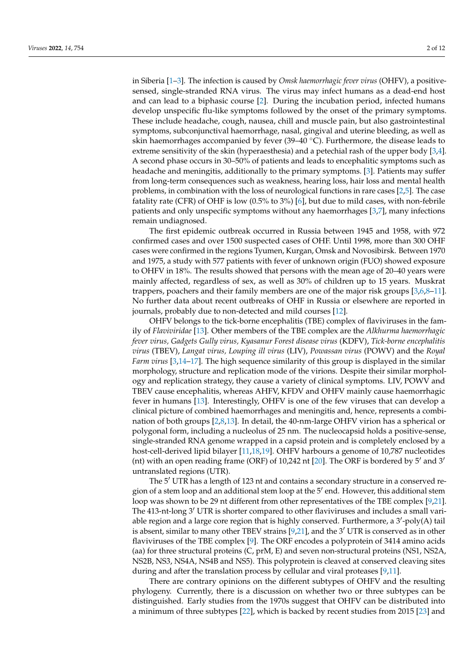in Siberia [\[1–](#page-9-0)[3\]](#page-9-1). The infection is caused by *Omsk haemorrhagic fever virus* (OHFV), a positivesensed, single-stranded RNA virus. The virus may infect humans as a dead-end host and can lead to a biphasic course [\[2\]](#page-9-2). During the incubation period, infected humans develop unspecific flu-like symptoms followed by the onset of the primary symptoms. These include headache, cough, nausea, chill and muscle pain, but also gastrointestinal symptoms, subconjunctival haemorrhage, nasal, gingival and uterine bleeding, as well as skin haemorrhages accompanied by fever (39–40 ◦C). Furthermore, the disease leads to extreme sensitivity of the skin (hyperaesthesia) and a petechial rash of the upper body [\[3](#page-9-1)[,4\]](#page-9-3). A second phase occurs in 30–50% of patients and leads to encephalitic symptoms such as headache and meningitis, additionally to the primary symptoms. [\[3\]](#page-9-1). Patients may suffer from long-term consequences such as weakness, hearing loss, hair loss and mental health problems, in combination with the loss of neurological functions in rare cases [\[2,](#page-9-2)[5\]](#page-10-0). The case fatality rate (CFR) of OHF is low (0.5% to 3%) [\[6\]](#page-10-1), but due to mild cases, with non-febrile patients and only unspecific symptoms without any haemorrhages [\[3,](#page-9-1)[7\]](#page-10-2), many infections remain undiagnosed.

The first epidemic outbreak occurred in Russia between 1945 and 1958, with 972 confirmed cases and over 1500 suspected cases of OHF. Until 1998, more than 300 OHF cases were confirmed in the regions Tyumen, Kurgan, Omsk and Novosibirsk. Between 1970 and 1975, a study with 577 patients with fever of unknown origin (FUO) showed exposure to OHFV in 18%. The results showed that persons with the mean age of 20–40 years were mainly affected, regardless of sex, as well as 30% of children up to 15 years. Muskrat trappers, poachers and their family members are one of the major risk groups [\[3,](#page-9-1)[6,](#page-10-1)[8](#page-10-3)[–11\]](#page-10-4). No further data about recent outbreaks of OHF in Russia or elsewhere are reported in journals, probably due to non-detected and mild courses [\[12\]](#page-10-5).

OHFV belongs to the tick-borne encephalitis (TBE) complex of flaviviruses in the family of *Flaviviridae* [\[13\]](#page-10-6). Other members of the TBE complex are the *Alkhurma haemorrhagic fever virus, Gadgets Gully virus, Kyasanur Forest disease virus* (KDFV), *Tick-borne encephalitis virus* (TBEV), *Langat virus, Louping ill virus* (LIV), *Powassan virus* (POWV) and the *Royal Farm virus* [\[3](#page-9-1)[,14](#page-10-7)[–17\]](#page-10-8). The high sequence similarity of this group is displayed in the similar morphology, structure and replication mode of the virions. Despite their similar morphology and replication strategy, they cause a variety of clinical symptoms. LIV, POWV and TBEV cause encephalitis, whereas AHFV, KFDV and OHFV mainly cause haemorrhagic fever in humans [\[13\]](#page-10-6). Interestingly, OHFV is one of the few viruses that can develop a clinical picture of combined haemorrhages and meningitis and, hence, represents a combination of both groups [\[2,](#page-9-2)[8,](#page-10-3)[13\]](#page-10-6). In detail, the 40-nm-large OHFV virion has a spherical or polygonal form, including a nucleolus of 25 nm. The nucleocapsid holds a positive-sense, single-stranded RNA genome wrapped in a capsid protein and is completely enclosed by a host-cell-derived lipid bilayer [\[11](#page-10-4)[,18,](#page-10-9)[19\]](#page-10-10). OHFV harbours a genome of 10,787 nucleotides (nt) with an open reading frame (ORF) of 10,242 nt [\[20\]](#page-10-11). The ORF is bordered by  $5'$  and  $3'$ untranslated regions (UTR).

The 5<sup>'</sup> UTR has a length of 123 nt and contains a secondary structure in a conserved region of a stem loop and an additional stem loop at the  $5'$  end. However, this additional stem loop was shown to be 29 nt different from other representatives of the TBE complex [\[9](#page-10-12)[,21\]](#page-10-13). The 413-nt-long  $3'$  UTR is shorter compared to other flaviviruses and includes a small variable region and a large core region that is highly conserved. Furthermore, a 3'-poly(A) tail is absent, similar to many other TBEV strains  $[9,21]$  $[9,21]$ , and the 3<sup>'</sup> UTR is conserved as in other flaviviruses of the TBE complex [\[9\]](#page-10-12). The ORF encodes a polyprotein of 3414 amino acids (aa) for three structural proteins (C, prM, E) and seven non-structural proteins (NS1, NS2A, NS2B, NS3, NS4A, NS4B and NS5). This polyprotein is cleaved at conserved cleaving sites during and after the translation process by cellular and viral proteases [\[9,](#page-10-12)[11\]](#page-10-4).

There are contrary opinions on the different subtypes of OHFV and the resulting phylogeny. Currently, there is a discussion on whether two or three subtypes can be distinguished. Early studies from the 1970s suggest that OHFV can be distributed into a minimum of three subtypes [\[22\]](#page-10-14), which is backed by recent studies from 2015 [\[23\]](#page-10-15) and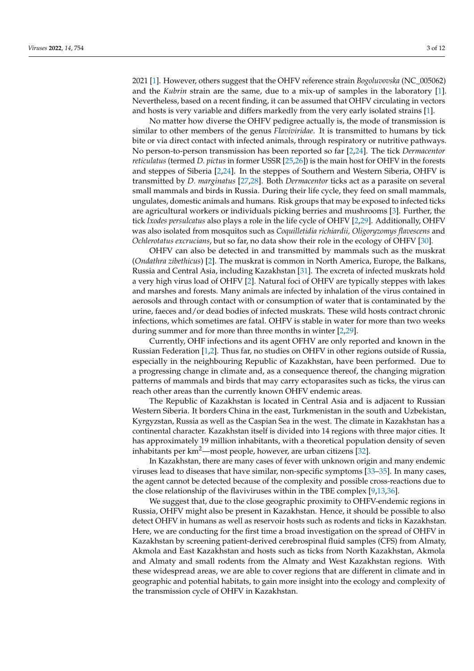2021 [\[1\]](#page-9-0). However, others suggest that the OHFV reference strain *Bogoluvovska* (NC\_005062) and the *Kubrin* strain are the same, due to a mix-up of samples in the laboratory [\[1\]](#page-9-0). Nevertheless, based on a recent finding, it can be assumed that OHFV circulating in vectors and hosts is very variable and differs markedly from the very early isolated strains [\[1\]](#page-9-0).

No matter how diverse the OHFV pedigree actually is, the mode of transmission is similar to other members of the genus *Flaviviridae*. It is transmitted to humans by tick bite or via direct contact with infected animals, through respiratory or nutritive pathways. No person-to-person transmission has been reported so far [\[2](#page-9-2)[,24\]](#page-10-16). The tick *Dermacentor reticulatus* (termed *D. pictus* in former USSR [\[25](#page-10-17)[,26\]](#page-10-18)) is the main host for OHFV in the forests and steppes of Siberia [\[2,](#page-9-2)[24\]](#page-10-16). In the steppes of Southern and Western Siberia, OHFV is transmitted by *D. marginatus* [\[27](#page-10-19)[,28\]](#page-10-20). Both *Dermacentor* ticks act as a parasite on several small mammals and birds in Russia. During their life cycle, they feed on small mammals, ungulates, domestic animals and humans. Risk groups that may be exposed to infected ticks are agricultural workers or individuals picking berries and mushrooms [\[3\]](#page-9-1). Further, the tick *Ixodes persulcatus* also plays a role in the life cycle of OHFV [\[2](#page-9-2)[,29\]](#page-10-21). Additionally, OHFV was also isolated from mosquitos such as *Coquilletidia richiardii, Oligoryzomys flavescens* and *Ochlerotatus excrucians*, but so far, no data show their role in the ecology of OHFV [\[30\]](#page-10-22).

OHFV can also be detected in and transmitted by mammals such as the muskrat (*Ondathra zibethicus*) [\[2\]](#page-9-2). The muskrat is common in North America, Europe, the Balkans, Russia and Central Asia, including Kazakhstan [\[31\]](#page-10-23). The excreta of infected muskrats hold a very high virus load of OHFV [\[2\]](#page-9-2). Natural foci of OHFV are typically steppes with lakes and marshes and forests. Many animals are infected by inhalation of the virus contained in aerosols and through contact with or consumption of water that is contaminated by the urine, faeces and/or dead bodies of infected muskrats. These wild hosts contract chronic infections, which sometimes are fatal. OHFV is stable in water for more than two weeks during summer and for more than three months in winter [\[2](#page-9-2)[,29\]](#page-10-21).

Currently, OHF infections and its agent OFHV are only reported and known in the Russian Federation [\[1,](#page-9-0)[2\]](#page-9-2). Thus far, no studies on OHFV in other regions outside of Russia, especially in the neighbouring Republic of Kazakhstan, have been performed. Due to a progressing change in climate and, as a consequence thereof, the changing migration patterns of mammals and birds that may carry ectoparasites such as ticks, the virus can reach other areas than the currently known OHFV endemic areas.

The Republic of Kazakhstan is located in Central Asia and is adjacent to Russian Western Siberia. It borders China in the east, Turkmenistan in the south and Uzbekistan, Kyrgyzstan, Russia as well as the Caspian Sea in the west. The climate in Kazakhstan has a continental character. Kazakhstan itself is divided into 14 regions with three major cities. It has approximately 19 million inhabitants, with a theoretical population density of seven inhabitants per  $km^2$ —most people, however, are urban citizens [\[32\]](#page-11-0).

In Kazakhstan, there are many cases of fever with unknown origin and many endemic viruses lead to diseases that have similar, non-specific symptoms [\[33](#page-11-1)[–35\]](#page-11-2). In many cases, the agent cannot be detected because of the complexity and possible cross-reactions due to the close relationship of the flaviviruses within in the TBE complex [\[9](#page-10-12)[,13](#page-10-6)[,36\]](#page-11-3).

We suggest that, due to the close geographic proximity to OHFV-endemic regions in Russia, OHFV might also be present in Kazakhstan. Hence, it should be possible to also detect OHFV in humans as well as reservoir hosts such as rodents and ticks in Kazakhstan. Here, we are conducting for the first time a broad investigation on the spread of OHFV in Kazakhstan by screening patient-derived cerebrospinal fluid samples (CFS) from Almaty, Akmola and East Kazakhstan and hosts such as ticks from North Kazakhstan, Akmola and Almaty and small rodents from the Almaty and West Kazakhstan regions. With these widespread areas, we are able to cover regions that are different in climate and in geographic and potential habitats, to gain more insight into the ecology and complexity of the transmission cycle of OHFV in Kazakhstan.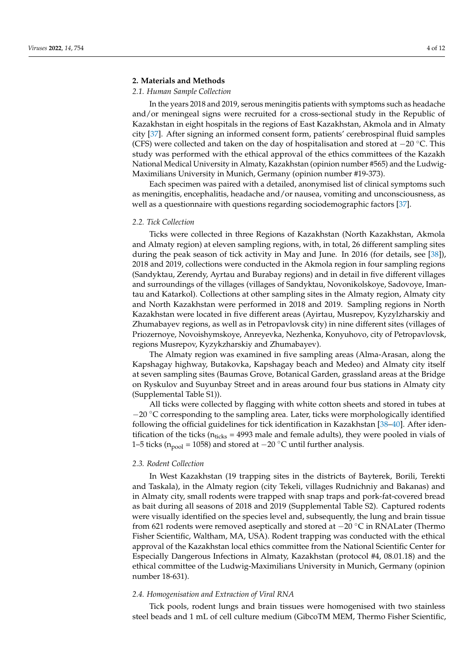# **2. Materials and Methods**

## *2.1. Human Sample Collection*

In the years 2018 and 2019, serous meningitis patients with symptoms such as headache and/or meningeal signs were recruited for a cross-sectional study in the Republic of Kazakhstan in eight hospitals in the regions of East Kazakhstan, Akmola and in Almaty city [\[37\]](#page-11-4). After signing an informed consent form, patients' cerebrospinal fluid samples (CFS) were collected and taken on the day of hospitalisation and stored at  $-20^\circ$ C. This study was performed with the ethical approval of the ethics committees of the Kazakh National Medical University in Almaty, Kazakhstan (opinion number #565) and the Ludwig-Maximilians University in Munich, Germany (opinion number #19-373).

Each specimen was paired with a detailed, anonymised list of clinical symptoms such as meningitis, encephalitis, headache and/or nausea, vomiting and unconsciousness, as well as a questionnaire with questions regarding sociodemographic factors [\[37\]](#page-11-4).

# *2.2. Tick Collection*

Ticks were collected in three Regions of Kazakhstan (North Kazakhstan, Akmola and Almaty region) at eleven sampling regions, with, in total, 26 different sampling sites during the peak season of tick activity in May and June. In 2016 (for details, see [\[38\]](#page-11-5)), 2018 and 2019, collections were conducted in the Akmola region in four sampling regions (Sandyktau, Zerendy, Ayrtau and Burabay regions) and in detail in five different villages and surroundings of the villages (villages of Sandyktau, Novonikolskoye, Sadovoye, Imantau and Katarkol). Collections at other sampling sites in the Almaty region, Almaty city and North Kazakhstan were performed in 2018 and 2019. Sampling regions in North Kazakhstan were located in five different areas (Ayirtau, Musrepov, Kyzylzharskiy and Zhumabayev regions, as well as in Petropavlovsk city) in nine different sites (villages of Priozernoye, Novoishymskoye, Anreyevka, Nezhenka, Konyuhovo, city of Petropavlovsk, regions Musrepov, Kyzykzharskiy and Zhumabayev).

The Almaty region was examined in five sampling areas (Alma-Arasan, along the Kapshagay highway, Butakovka, Kapshagay beach and Medeo) and Almaty city itself at seven sampling sites (Baumas Grove, Botanical Garden, grassland areas at the Bridge on Ryskulov and Suyunbay Street and in areas around four bus stations in Almaty city (Supplemental Table S1)).

All ticks were collected by flagging with white cotton sheets and stored in tubes at  $-20$  °C corresponding to the sampling area. Later, ticks were morphologically identified following the official guidelines for tick identification in Kazakhstan [\[38–](#page-11-5)[40\]](#page-11-6). After identification of the ticks ( $n_{\text{ticks}} = 4993$  male and female adults), they were pooled in vials of 1–5 ticks ( $n_{pool}$  = 1058) and stored at −20 °C until further analysis.

#### *2.3. Rodent Collection*

In West Kazakhstan (19 trapping sites in the districts of Bayterek, Borili, Terekti and Taskala), in the Almaty region (city Tekeli, villages Rudnichniy and Bakanas) and in Almaty city, small rodents were trapped with snap traps and pork-fat-covered bread as bait during all seasons of 2018 and 2019 (Supplemental Table S2). Captured rodents were visually identified on the species level and, subsequently, the lung and brain tissue from 621 rodents were removed aseptically and stored at −20 ◦C in RNALater (Thermo Fisher Scientific, Waltham, MA, USA). Rodent trapping was conducted with the ethical approval of the Kazakhstan local ethics committee from the National Scientific Center for Especially Dangerous Infections in Almaty, Kazakhstan (protocol #4, 08.01.18) and the ethical committee of the Ludwig-Maximilians University in Munich, Germany (opinion number 18-631).

#### *2.4. Homogenisation and Extraction of Viral RNA*

Tick pools, rodent lungs and brain tissues were homogenised with two stainless steel beads and 1 mL of cell culture medium (GibcoTM MEM, Thermo Fisher Scientific,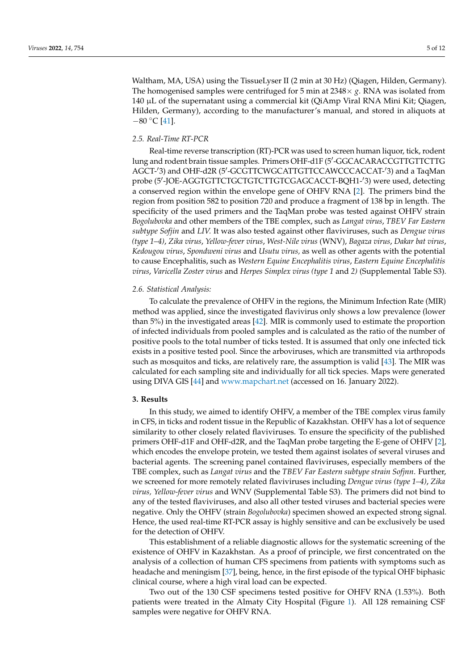Waltham, MA, USA) using the TissueLyser II (2 min at 30 Hz) (Qiagen, Hilden, Germany). The homogenised samples were centrifuged for 5 min at  $2348\times g$ . RNA was isolated from 140 µL of the supernatant using a commercial kit (QiAmp Viral RNA Mini Kit; Qiagen, Hilden, Germany), according to the manufacturer's manual, and stored in aliquots at  $-80$  °C [\[41\]](#page-11-7).

# *2.5. Real-Time RT-PCR*

Real-time reverse transcription (RT)-PCR was used to screen human liquor, tick, rodent lung and rodent brain tissue samples. Primers OHF-d1F (5'-GGCACARACCGTTGTTCTTG AGCT-'3) and OHF-d2R (5'-GCGTTCWGCATTGTTCCAWCCCACCAT-'3) and a TaqMan probe (5'-JOE-AGGTGTTCTGCTGTCTTGTCGAGCACCT-BQH1-'3) were used, detecting a conserved region within the envelope gene of OHFV RNA [\[2\]](#page-9-2). The primers bind the region from position 582 to position 720 and produce a fragment of 138 bp in length. The specificity of the used primers and the TaqMan probe was tested against OHFV strain *Bogolubovka* and other members of the TBE complex, such as *Langat virus*, *TBEV Far Eastern subtype Sofjin* and *LIV.* It was also tested against other flaviviruses, such as *Dengue virus (type 1–4)*, *Zika virus*, *Yellow-fever virus*, *West-Nile virus* (WNV), *Bagaza virus*, *Dakar bat virus*, *Kedougou virus*, *Spondweni virus* and *Usutu virus,* as well as other agents with the potential to cause Encephalitis, such as *Western Equine Encephalitis virus*, *Eastern Equine Encephalitis virus*, *Varicella Zoster virus* and *Herpes Simplex virus (type 1* and *2)* (Supplemental Table S3).

### *2.6. Statistical Analysis:*

To calculate the prevalence of OHFV in the regions, the Minimum Infection Rate (MIR) method was applied, since the investigated flavivirus only shows a low prevalence (lower than 5%) in the investigated areas [\[42\]](#page-11-8). MIR is commonly used to estimate the proportion of infected individuals from pooled samples and is calculated as the ratio of the number of positive pools to the total number of ticks tested. It is assumed that only one infected tick exists in a positive tested pool. Since the arboviruses, which are transmitted via arthropods such as mosquitos and ticks, are relatively rare, the assumption is valid [\[43\]](#page-11-9). The MIR was calculated for each sampling site and individually for all tick species. Maps were generated using DIVA GIS [\[44\]](#page-11-10) and <www.mapchart.net> (accessed on 16. January 2022).

#### **3. Results**

In this study, we aimed to identify OHFV, a member of the TBE complex virus family in CFS, in ticks and rodent tissue in the Republic of Kazakhstan. OHFV has a lot of sequence similarity to other closely related flaviviruses. To ensure the specificity of the published primers OHF-d1F and OHF-d2R, and the TaqMan probe targeting the E-gene of OHFV [\[2\]](#page-9-2), which encodes the envelope protein, we tested them against isolates of several viruses and bacterial agents. The screening panel contained flaviviruses, especially members of the TBE complex, such as *Langat virus* and the *TBEV Far Eastern subtype strain Sofjnn*. Further, we screened for more remotely related flaviviruses including *Dengue virus (type 1–4)*, *Zika virus, Yellow-fever virus* and WNV (Supplemental Table S3). The primers did not bind to any of the tested flaviviruses, and also all other tested viruses and bacterial species were negative. Only the OHFV (strain *Bogolubovka*) specimen showed an expected strong signal. Hence, the used real-time RT-PCR assay is highly sensitive and can be exclusively be used for the detection of OHFV.

This establishment of a reliable diagnostic allows for the systematic screening of the existence of OHFV in Kazakhstan. As a proof of principle, we first concentrated on the analysis of a collection of human CFS specimens from patients with symptoms such as headache and meningism [\[37\]](#page-11-4), being, hence, in the first episode of the typical OHF biphasic clinical course, where a high viral load can be expected.

Two out of the 130 CSF specimens tested positive for OHFV RNA (1.53%). Both patients were treated in the Almaty City Hospital (Figure [1\)](#page-5-0). All 128 remaining CSF samples were negative for OHFV RNA.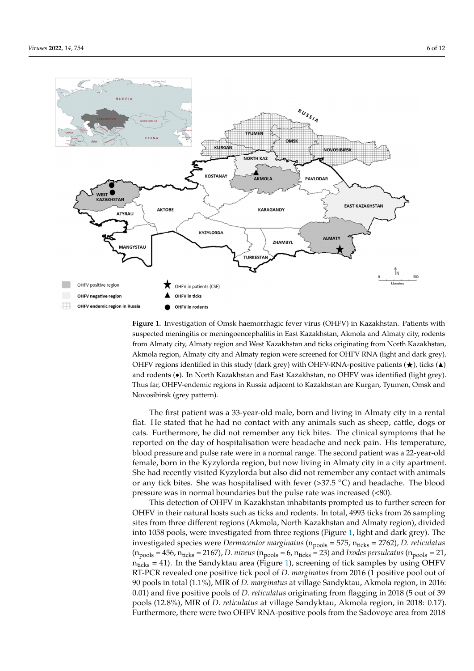<span id="page-5-0"></span>

**Figure 1.** Investigation of Omsk haemorrhagic fever virus (OHFV) in Kazakhstan. Patients with sus-**Figure 1.** Investigation of Omsk haemorrhagic fever virus (OHFV) in Kazakhstan. Patients with pected meningitis or meningoencephalitis in East Kazakhstan, Akmola and Almaty city, rodents suspected meningitis or meningoencephalitis in East Kazakhstan, Akmola and Almaty city, rodents<br>Care and Morth Karakhfrom Almaty city, Almaty region and West Kazakhstan and ticks originating from North Kazakhstan, Akmola region, Almaty city and Almaty region were screened for OHFV RNA (light and dark grey). OHFV regions identified in this study (dark grey) with OHFV-RNA-positive patients ( $\bigstar$ ), ticks ( $\blacktriangle$ ) and rodents ( $\bullet$ ). In North Kazakhstan and East Kazakhstan, no OHFV was identified (light grey). Thus far, OHFV-endemic regions in Russia adjacent to Kazakhstan are Kurgan, Tyumen, Omsk and Novosibirsk (grey pattern).

The first patient was a 33-year-old male, born and living in Almaty city in a rental flat. He stated that he had no contact with any animals such as sheep, cattle, dogs or cats. Furthermore, he did not remember any tick bites. The clinical symptoms that he reported on the day of hospitalisation were headache and neck pain. His temperature, blood pressure and pulse rate were in a normal range. The second patient was a 22-year-old female, born in the Kyzylorda region, but now living in Almaty city in a city apartment. She had recently visited Kyzylorda but also did not remember any contact with animals or any tick bites. She was hospitalised with fever (>37.5 °C) and headache. The blood pressure was in normal boundaries but the pulse rate was increased  $(\leq80)$ .

This detection of OHFV in Kazakhstan inhabitants prompted us to further screen for OHFV in their natural hosts such as ticks and rodents. In total, 4993 ticks from 26 sampling sites from three different regions (Akmola, North Kazakhstan and Almaty region), divided into 1058 pools, were investigated from three regions (Figure [1,](#page-5-0) light and dark grey). The investigated species were *Dermacentor marginatus* ( $n_{\text{pools}} = 575$ ,  $n_{\text{ticks}} = 2762$ ), *D. reticulatus*  $(n_{\text{pools}} = 456, n_{\text{ticks}} = 2167)$ , *D. niveus*  $(n_{\text{pools}} = 6, n_{\text{ticks}} = 23)$  and *Ixodes persulcatus*  $(n_{\text{pools}} = 21$ ,  $n_{\text{ticks}} = 41$ ). In the Sandyktau area (Figure [1\)](#page-5-0), screening of tick samples by using OHFV RT-PCR revealed one positive tick pool of *D. marginatus* from 2016 (1 positive pool out of 90 pools in total (1.1%), MIR of *D. marginatus* at village Sandyktau, Akmola region, in 2016: 0.01) and five positive pools of *D. reticulatus* originating from flagging in 2018 (5 out of 39 pools (12.8%), MIR of *D. reticulatus* at village Sandyktau, Akmola region, in 2018: 0.17). Furthermore, there were two OHFV RNA-positive pools from the Sadovoye area from 2018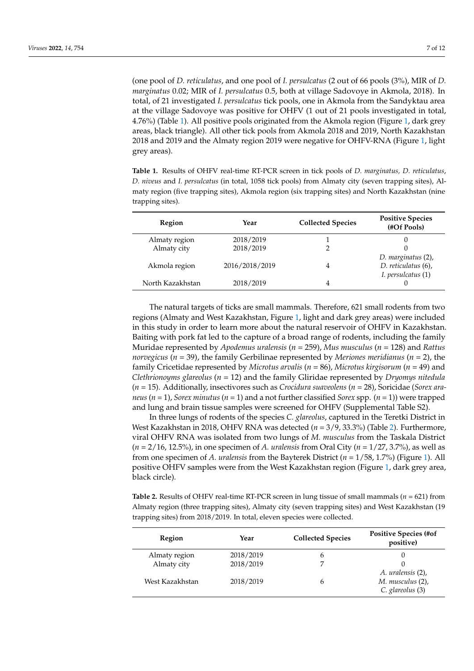(one pool of *D. reticulatus*, and one pool of *I. persulcatus* (2 out of 66 pools (3%), MIR of *D. marginatus* 0.02; MIR of *I. persulcatus* 0.5, both at village Sadovoye in Akmola, 2018). In total, of 21 investigated *I. persulcatus* tick pools, one in Akmola from the Sandyktau area at the village Sadovoye was positive for OHFV (1 out of 21 pools investigated in total, 4.76%) (Table [1\)](#page-6-0). All positive pools originated from the Akmola region (Figure [1,](#page-5-0) dark grey areas, black triangle). All other tick pools from Akmola 2018 and 2019, North Kazakhstan 2018 and 2019 and the Almaty region 2019 were negative for OHFV-RNA (Figure [1,](#page-5-0) light grey areas).

<span id="page-6-0"></span>**Table 1.** Results of OHFV real-time RT-PCR screen in tick pools of *D. marginatus, D. reticulatus*, *D. niveus* and *I. persulcatus* (in total, 1058 tick pools) from Almaty city (seven trapping sites), Almaty region (five trapping sites), Akmola region (six trapping sites) and North Kazakhstan (nine trapping sites).

| Region           | Year           | <b>Collected Species</b> | <b>Positive Species</b><br>(#Of Pools) |
|------------------|----------------|--------------------------|----------------------------------------|
| Almaty region    | 2018/2019      |                          |                                        |
| Almaty city      | 2018/2019      |                          |                                        |
|                  |                |                          | D. marginatus (2),                     |
| Akmola region    | 2016/2018/2019 | 4                        | D. reticulatus (6),                    |
|                  |                |                          | I. persulcatus (1)                     |
| North Kazakhstan | 2018/2019      | 4                        |                                        |

The natural targets of ticks are small mammals. Therefore, 621 small rodents from two regions (Almaty and West Kazakhstan, Figure [1,](#page-5-0) light and dark grey areas) were included in this study in order to learn more about the natural reservoir of OHFV in Kazakhstan. Baiting with pork fat led to the capture of a broad range of rodents, including the family Muridae represented by *Apodemus uralensis* (*n* = 259), *Mus musculus* (*n* = 128) and *Rattus norvegicus* (*n* = 39), the family Gerbilinae represented by *Meriones meridianus* (*n* = 2), the family Cricetidae represented by *Microtus arvalis* (*n* = 86), *Microtus kirgisorum* (*n* = 49) and *Clethrionoyms glareolus* (*n* = 12) and the family Gliridae represented by *Dryomys nitedula* (*n* = 15). Additionally, insectivores such as *Crocidura suaveolens* (*n* = 28), Soricidae (*Sorex araneus* ( $n = 1$ ), *Sorex minutus* ( $n = 1$ ) and a not further classified *Sorex* spp. ( $n = 1$ )) were trapped and lung and brain tissue samples were screened for OHFV (Supplemental Table S2).

In three lungs of rodents of the species *C. glareolus*, captured in the Teretki District in West Kazakhstan in 2018, OHFV RNA was detected (*n* = 3/9, 33.3%) (Table [2\)](#page-6-1). Furthermore, viral OHFV RNA was isolated from two lungs of *M. musculus* from the Taskala District (*n* = 2/16, 12.5%), in one specimen of *A. uralensis* from Oral City (*n* = 1/27, 3.7%), as well as from one specimen of *A. uralensis* from the Bayterek District (*n* = 1/58, 1.7%) (Figure [1\)](#page-5-0). All positive OHFV samples were from the West Kazakhstan region (Figure [1,](#page-5-0) dark grey area, black circle).

<span id="page-6-1"></span>**Table 2.** Results of OHFV real-time RT-PCR screen in lung tissue of small mammals (*n* = 621) from Almaty region (three trapping sites), Almaty city (seven trapping sites) and West Kazakhstan (19 trapping sites) from 2018/2019. In total, eleven species were collected.

| Region          | Year      | <b>Collected Species</b> | <b>Positive Species (#of</b><br>positive) |
|-----------------|-----------|--------------------------|-------------------------------------------|
| Almaty region   | 2018/2019 | h                        |                                           |
| Almaty city     | 2018/2019 |                          |                                           |
|                 |           |                          | A. uralensis (2),                         |
| West Kazakhstan | 2018/2019 | h                        | M. musculus (2),                          |
|                 |           |                          | C. glareolus (3)                          |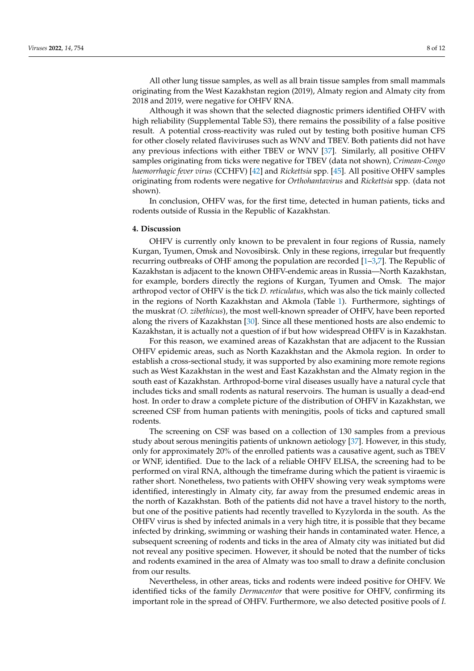All other lung tissue samples, as well as all brain tissue samples from small mammals originating from the West Kazakhstan region (2019), Almaty region and Almaty city from 2018 and 2019, were negative for OHFV RNA.

Although it was shown that the selected diagnostic primers identified OHFV with high reliability (Supplemental Table S3), there remains the possibility of a false positive result. A potential cross-reactivity was ruled out by testing both positive human CFS for other closely related flaviviruses such as WNV and TBEV. Both patients did not have any previous infections with either TBEV or WNV [\[37\]](#page-11-4). Similarly, all positive OHFV samples originating from ticks were negative for TBEV (data not shown)*, Crimean-Congo haemorrhagic fever virus* (CCHFV) [\[42\]](#page-11-8) and *Rickettsia* spp. [\[45\]](#page-11-11). All positive OHFV samples originating from rodents were negative for *Orthohantavirus* and *Rickettsia* spp. (data not shown).

In conclusion, OHFV was, for the first time, detected in human patients, ticks and rodents outside of Russia in the Republic of Kazakhstan.

#### **4. Discussion**

OHFV is currently only known to be prevalent in four regions of Russia, namely Kurgan, Tyumen, Omsk and Novosibirsk. Only in these regions, irregular but frequently recurring outbreaks of OHF among the population are recorded [\[1](#page-9-0)[–3,](#page-9-1)[7\]](#page-10-2). The Republic of Kazakhstan is adjacent to the known OHFV-endemic areas in Russia—North Kazakhstan, for example, borders directly the regions of Kurgan, Tyumen and Omsk. The major arthropod vector of OHFV is the tick *D. reticulatus*, which was also the tick mainly collected in the regions of North Kazakhstan and Akmola (Table [1\)](#page-6-0). Furthermore, sightings of the muskrat *(O. zibethicus*), the most well-known spreader of OHFV, have been reported along the rivers of Kazakhstan [\[30\]](#page-10-22). Since all these mentioned hosts are also endemic to Kazakhstan, it is actually not a question of if but how widespread OHFV is in Kazakhstan.

For this reason, we examined areas of Kazakhstan that are adjacent to the Russian OHFV epidemic areas, such as North Kazakhstan and the Akmola region. In order to establish a cross-sectional study, it was supported by also examining more remote regions such as West Kazakhstan in the west and East Kazakhstan and the Almaty region in the south east of Kazakhstan. Arthropod-borne viral diseases usually have a natural cycle that includes ticks and small rodents as natural reservoirs. The human is usually a dead-end host. In order to draw a complete picture of the distribution of OHFV in Kazakhstan, we screened CSF from human patients with meningitis, pools of ticks and captured small rodents.

The screening on CSF was based on a collection of 130 samples from a previous study about serous meningitis patients of unknown aetiology [\[37\]](#page-11-4). However, in this study, only for approximately 20% of the enrolled patients was a causative agent, such as TBEV or WNF, identified. Due to the lack of a reliable OHFV ELISA, the screening had to be performed on viral RNA, although the timeframe during which the patient is viraemic is rather short. Nonetheless, two patients with OHFV showing very weak symptoms were identified, interestingly in Almaty city, far away from the presumed endemic areas in the north of Kazakhstan. Both of the patients did not have a travel history to the north, but one of the positive patients had recently travelled to Kyzylorda in the south. As the OHFV virus is shed by infected animals in a very high titre, it is possible that they became infected by drinking, swimming or washing their hands in contaminated water. Hence, a subsequent screening of rodents and ticks in the area of Almaty city was initiated but did not reveal any positive specimen. However, it should be noted that the number of ticks and rodents examined in the area of Almaty was too small to draw a definite conclusion from our results.

Nevertheless, in other areas, ticks and rodents were indeed positive for OHFV. We identified ticks of the family *Dermacentor* that were positive for OHFV, confirming its important role in the spread of OHFV. Furthermore, we also detected positive pools of *I.*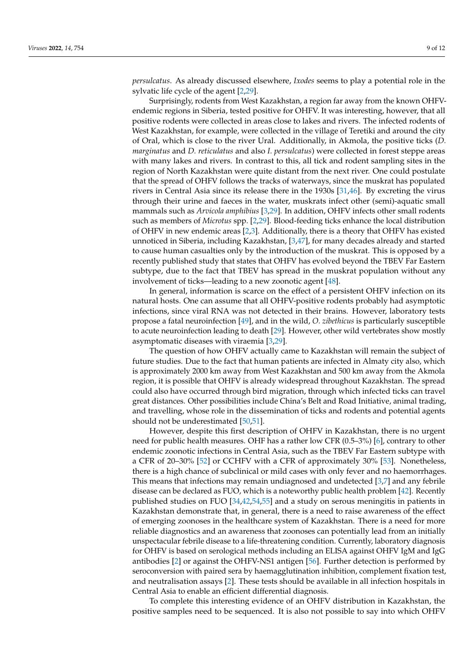*persulcatus*. As already discussed elsewhere, *Ixodes* seems to play a potential role in the sylvatic life cycle of the agent [\[2](#page-9-2)[,29\]](#page-10-21).

Surprisingly, rodents from West Kazakhstan, a region far away from the known OHFVendemic regions in Siberia, tested positive for OHFV. It was interesting, however, that all positive rodents were collected in areas close to lakes and rivers. The infected rodents of West Kazakhstan, for example, were collected in the village of Teretiki and around the city of Oral, which is close to the river Ural. Additionally, in Akmola, the positive ticks (*D. marginatus* and *D. reticulatus* and also *I. persulcatus*) were collected in forest steppe areas with many lakes and rivers. In contrast to this, all tick and rodent sampling sites in the region of North Kazakhstan were quite distant from the next river. One could postulate that the spread of OHFV follows the tracks of waterways, since the muskrat has populated rivers in Central Asia since its release there in the 1930s [\[31](#page-10-23)[,46\]](#page-11-12). By excreting the virus through their urine and faeces in the water, muskrats infect other (semi)-aquatic small mammals such as *Arvicola amphibius* [\[3](#page-9-1)[,29\]](#page-10-21). In addition, OHFV infects other small rodents such as members of *Microtus* spp. [\[2,](#page-9-2)[29\]](#page-10-21). Blood-feeding ticks enhance the local distribution of OHFV in new endemic areas [\[2,](#page-9-2)[3\]](#page-9-1). Additionally, there is a theory that OHFV has existed unnoticed in Siberia, including Kazakhstan, [\[3,](#page-9-1)[47\]](#page-11-13), for many decades already and started to cause human casualties only by the introduction of the muskrat. This is opposed by a recently published study that states that OHFV has evolved beyond the TBEV Far Eastern subtype, due to the fact that TBEV has spread in the muskrat population without any involvement of ticks—leading to a new zoonotic agent [\[48\]](#page-11-14).

In general, information is scarce on the effect of a persistent OHFV infection on its natural hosts. One can assume that all OHFV-positive rodents probably had asymptotic infections, since viral RNA was not detected in their brains. However, laboratory tests propose a fatal neuroinfection [\[49\]](#page-11-15), and in the wild, *O. zibethicus* is particularly susceptible to acute neuroinfection leading to death [\[29\]](#page-10-21). However, other wild vertebrates show mostly asymptomatic diseases with viraemia [\[3,](#page-9-1)[29\]](#page-10-21).

The question of how OHFV actually came to Kazakhstan will remain the subject of future studies. Due to the fact that human patients are infected in Almaty city also, which is approximately 2000 km away from West Kazakhstan and 500 km away from the Akmola region, it is possible that OHFV is already widespread throughout Kazakhstan. The spread could also have occurred through bird migration, through which infected ticks can travel great distances. Other possibilities include China's Belt and Road Initiative, animal trading, and travelling, whose role in the dissemination of ticks and rodents and potential agents should not be underestimated [\[50](#page-11-16)[,51\]](#page-11-17).

However, despite this first description of OHFV in Kazakhstan, there is no urgent need for public health measures. OHF has a rather low CFR (0.5–3%) [\[6\]](#page-10-1), contrary to other endemic zoonotic infections in Central Asia, such as the TBEV Far Eastern subtype with a CFR of 20–30% [\[52\]](#page-11-18) or CCHFV with a CFR of approximately 30% [\[53\]](#page-11-19). Nonetheless, there is a high chance of subclinical or mild cases with only fever and no haemorrhages. This means that infections may remain undiagnosed and undetected [\[3](#page-9-1)[,7\]](#page-10-2) and any febrile disease can be declared as FUO, which is a noteworthy public health problem [\[42\]](#page-11-8). Recently published studies on FUO [\[34,](#page-11-20)[42,](#page-11-8)[54,](#page-11-21)[55\]](#page-11-22) and a study on serous meningitis in patients in Kazakhstan demonstrate that, in general, there is a need to raise awareness of the effect of emerging zoonoses in the healthcare system of Kazakhstan. There is a need for more reliable diagnostics and an awareness that zoonoses can potentially lead from an initially unspectacular febrile disease to a life-threatening condition. Currently, laboratory diagnosis for OHFV is based on serological methods including an ELISA against OHFV IgM and IgG antibodies [\[2\]](#page-9-2) or against the OHFV-NS1 antigen [\[56\]](#page-11-23). Further detection is performed by seroconversion with paired sera by haemagglutination inhibition, complement fixation test, and neutralisation assays [\[2\]](#page-9-2). These tests should be available in all infection hospitals in Central Asia to enable an efficient differential diagnosis.

To complete this interesting evidence of an OHFV distribution in Kazakhstan, the positive samples need to be sequenced. It is also not possible to say into which OHFV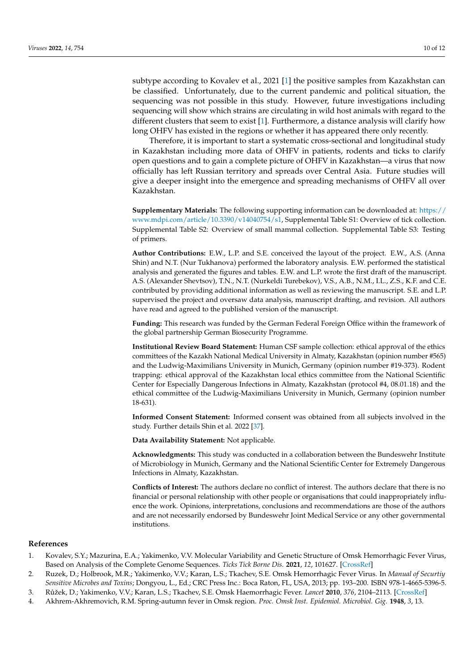subtype according to Kovalev et al., 2021 [\[1\]](#page-9-0) the positive samples from Kazakhstan can be classified. Unfortunately, due to the current pandemic and political situation, the sequencing was not possible in this study. However, future investigations including sequencing will show which strains are circulating in wild host animals with regard to the different clusters that seem to exist [\[1\]](#page-9-0). Furthermore, a distance analysis will clarify how long OHFV has existed in the regions or whether it has appeared there only recently.

Therefore, it is important to start a systematic cross-sectional and longitudinal study in Kazakhstan including more data of OHFV in patients, rodents and ticks to clarify open questions and to gain a complete picture of OHFV in Kazakhstan—a virus that now officially has left Russian territory and spreads over Central Asia. Future studies will give a deeper insight into the emergence and spreading mechanisms of OHFV all over Kazakhstan.

**Supplementary Materials:** The following supporting information can be downloaded at: [https://](https://www.mdpi.com/article/10.3390/v14040754/s1) [www.mdpi.com/article/10.3390/v14040754/s1,](https://www.mdpi.com/article/10.3390/v14040754/s1) Supplemental Table S1: Overview of tick collection. Supplemental Table S2: Overview of small mammal collection. Supplemental Table S3: Testing of primers.

**Author Contributions:** E.W., L.P. and S.E. conceived the layout of the project. E.W., A.S. (Anna Shin) and N.T. (Nur Tukhanova) performed the laboratory analysis. E.W. performed the statistical analysis and generated the figures and tables. E.W. and L.P. wrote the first draft of the manuscript. A.S. (Alexander Shevtsov), T.N., N.T. (Nurkeldi Turebekov), V.S., A.B., N.M., I.L., Z.S., K.F. and C.E. contributed by providing additional information as well as reviewing the manuscript. S.E. and L.P. supervised the project and oversaw data analysis, manuscript drafting, and revision. All authors have read and agreed to the published version of the manuscript.

**Funding:** This research was funded by the German Federal Foreign Office within the framework of the global partnership German Biosecurity Programme.

**Institutional Review Board Statement:** Human CSF sample collection: ethical approval of the ethics committees of the Kazakh National Medical University in Almaty, Kazakhstan (opinion number #565) and the Ludwig-Maximilians University in Munich, Germany (opinion number #19-373). Rodent trapping: ethical approval of the Kazakhstan local ethics committee from the National Scientific Center for Especially Dangerous Infections in Almaty, Kazakhstan (protocol #4, 08.01.18) and the ethical committee of the Ludwig-Maximilians University in Munich, Germany (opinion number 18-631).

**Informed Consent Statement:** Informed consent was obtained from all subjects involved in the study. Further details Shin et al. 2022 [\[37\]](#page-11-4).

**Data Availability Statement:** Not applicable.

**Acknowledgments:** This study was conducted in a collaboration between the Bundeswehr Institute of Microbiology in Munich, Germany and the National Scientific Center for Extremely Dangerous Infections in Almaty, Kazakhstan.

**Conflicts of Interest:** The authors declare no conflict of interest. The authors declare that there is no financial or personal relationship with other people or organisations that could inappropriately influence the work. Opinions, interpretations, conclusions and recommendations are those of the authors and are not necessarily endorsed by Bundeswehr Joint Medical Service or any other governmental institutions.

## **References**

- <span id="page-9-0"></span>1. Kovalev, S.Y.; Mazurina, E.A.; Yakimenko, V.V. Molecular Variability and Genetic Structure of Omsk Hemorrhagic Fever Virus, Based on Analysis of the Complete Genome Sequences. *Ticks Tick Borne Dis.* **2021**, *12*, 101627. [\[CrossRef\]](http://doi.org/10.1016/j.ttbdis.2020.101627)
- <span id="page-9-2"></span>2. Ruzek, D.; Holbrook, M.R.; Yakimenko, V.V.; Karan, L.S.; Tkachev, S.E. Omsk Hemorrhagic Fever Virus. In *Manual of Securtiy Sensitive Microbes and Toxins*; Dongyou, L., Ed.; CRC Press Inc.: Boca Raton, FL, USA, 2013; pp. 193–200. ISBN 978-1-4665-5396-5.
- <span id="page-9-1"></span>3. R ˚užek, D.; Yakimenko, V.V.; Karan, L.S.; Tkachev, S.E. Omsk Haemorrhagic Fever. *Lancet* **2010**, *376*, 2104–2113. [\[CrossRef\]](http://doi.org/10.1016/S0140-6736(10)61120-8)
- <span id="page-9-3"></span>4. Akhrem-Akhremovich, R.M. Spring-autumn fever in Omsk region. *Proc. Omsk Inst. Epidemiol. Microbiol. Gig.* **1948**, *3*, 13.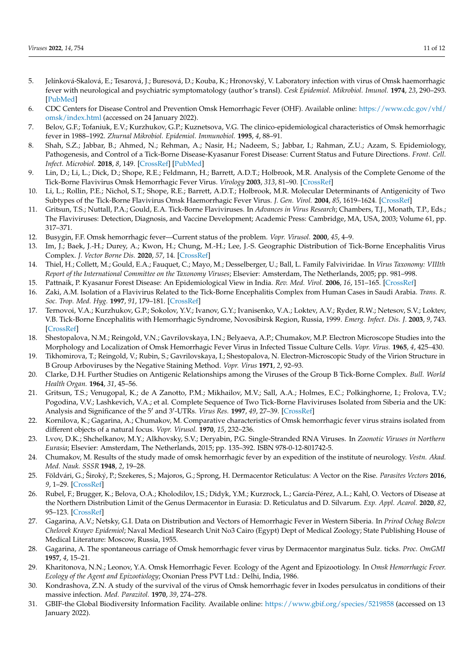- <span id="page-10-0"></span>5. Jelínková-Skalová, E.; Tesarová, J.; Buresová, D.; Kouba, K.; Hronovský, V. Laboratory infection with virus of Omsk haemorrhagic fever with neurological and psychiatric symptomatology (author's transl). *Cesk Epidemiol. Mikrobiol. Imunol.* **1974**, *23*, 290–293. [\[PubMed\]](http://www.ncbi.nlm.nih.gov/pubmed/4279783)
- <span id="page-10-1"></span>6. CDC Centers for Disease Control and Prevention Omsk Hemorrhagic Fever (OHF). Available online: [https://www.cdc.gov/vhf/](https://www.cdc.gov/vhf/omsk/index.html) [omsk/index.html](https://www.cdc.gov/vhf/omsk/index.html) (accessed on 24 January 2022).
- <span id="page-10-2"></span>7. Belov, G.F.; Tofaniuk, E.V.; Kurzhukov, G.P.; Kuznetsova, V.G. The clinico-epidemiological characteristics of Omsk hemorrhagic fever in 1988–1992. *Zhurnal Mikrobiol. Epidemiol. Immunobiol.* **1995**, *4*, 88–91.
- <span id="page-10-3"></span>8. Shah, S.Z.; Jabbar, B.; Ahmed, N.; Rehman, A.; Nasir, H.; Nadeem, S.; Jabbar, I.; Rahman, Z.U.; Azam, S. Epidemiology, Pathogenesis, and Control of a Tick-Borne Disease-Kyasanur Forest Disease: Current Status and Future Directions. *Front. Cell. Infect. Microbiol.* **2018**, *8*, 149. [\[CrossRef\]](http://doi.org/10.3389/fcimb.2018.00149) [\[PubMed\]](http://www.ncbi.nlm.nih.gov/pubmed/29868505)
- <span id="page-10-12"></span>9. Lin, D.; Li, L.; Dick, D.; Shope, R.E.; Feldmann, H.; Barrett, A.D.T.; Holbrook, M.R. Analysis of the Complete Genome of the Tick-Borne Flavivirus Omsk Hemorrhagic Fever Virus. *Virology* **2003**, *313*, 81–90. [\[CrossRef\]](http://doi.org/10.1016/S0042-6822(03)00246-0)
- 10. Li, L.; Rollin, P.E.; Nichol, S.T.; Shope, R.E.; Barrett, A.D.T.; Holbrook, M.R. Molecular Determinants of Antigenicity of Two Subtypes of the Tick-Borne Flavivirus Omsk Haemorrhagic Fever Virus. *J. Gen. Virol.* **2004**, *85*, 1619–1624. [\[CrossRef\]](http://doi.org/10.1099/vir.0.19766-0)
- <span id="page-10-4"></span>11. Gritsun, T.S.; Nuttall, P.A.; Gould, E.A. Tick-Borne Flaviviruses. In *Advances in Virus Research*; Chambers, T.J., Monath, T.P., Eds.; The Flaviviruses: Detection, Diagnosis, and Vaccine Development; Academic Press: Cambridge, MA, USA, 2003; Volume 61, pp. 317–371.
- <span id="page-10-5"></span>12. Busygin, F.F. Omsk hemorrhagic fever—Current status of the problem. *Vopr. Virusol.* **2000**, *45*, 4–9.
- <span id="page-10-6"></span>13. Im, J.; Baek, J.-H.; Durey, A.; Kwon, H.; Chung, M.-H.; Lee, J.-S. Geographic Distribution of Tick-Borne Encephalitis Virus Complex. *J. Vector Borne Dis.* **2020**, *57*, 14. [\[CrossRef\]](http://doi.org/10.4103/0972-9062.308794)
- <span id="page-10-7"></span>14. Thiel, H.; Collett, M.; Gould, E.A.; Fauquet, C.; Mayo, M.; Desselberger, U.; Ball, L. Family Falviviridae. In *Virus Taxonomy: VIIIth Report of the International Committee on the Taxonomy Viruses*; Elsevier: Amsterdam, The Netherlands, 2005; pp. 981–998.
- 15. Pattnaik, P. Kyasanur Forest Disease: An Epidemiological View in India. *Rev. Med. Virol.* **2006**, *16*, 151–165. [\[CrossRef\]](http://doi.org/10.1002/rmv.495)
- 16. Zaki, A.M. Isolation of a Flavivirus Related to the Tick-Borne Encephalitis Complex from Human Cases in Saudi Arabia. *Trans. R. Soc. Trop. Med. Hyg.* **1997**, *91*, 179–181. [\[CrossRef\]](http://doi.org/10.1016/S0035-9203(97)90215-7)
- <span id="page-10-8"></span>17. Ternovoi, V.A.; Kurzhukov, G.P.; Sokolov, Y.V.; Ivanov, G.Y.; Ivanisenko, V.A.; Loktev, A.V.; Ryder, R.W.; Netesov, S.V.; Loktev, V.B. Tick-Borne Encephalitis with Hemorrhagic Syndrome, Novosibirsk Region, Russia, 1999. *Emerg. Infect. Dis. J.* **2003**, *9*, 743. [\[CrossRef\]](http://doi.org/10.3201/eid0906.030007)
- <span id="page-10-9"></span>18. Shestopalova, N.M.; Reingold, V.N.; Gavrilovskaya, I.N.; Belyaeva, A.P.; Chumakov, M.P. Electron Microscope Studies into the Morphology and Localization of Omsk Hemorrhagic Fever Virus in Infected Tissue Culture Cells. *Vopr. Virus.* **1965**, *4*, 425–430.
- <span id="page-10-10"></span>19. Tikhomirova, T.; Reingold, V.; Rubin, S.; Gavrilovskaya, I.; Shestopalova, N. Electron-Microscopic Study of the Virion Structure in B Group Arboviruses by the Negative Staining Method. *Vopr. Virus* **1971**, *2*, 92–93.
- <span id="page-10-11"></span>20. Clarke, D.H. Further Studies on Antigenic Relationships among the Viruses of the Group B Tick-Borne Complex. *Bull. World Health Organ.* **1964**, *31*, 45–56.
- <span id="page-10-13"></span>21. Gritsun, T.S.; Venugopal, K.; de A Zanotto, P.M.; Mikhailov, M.V.; Sall, A.A.; Holmes, E.C.; Polkinghorne, I.; Frolova, T.V.; Pogodina, V.V.; Lashkevich, V.A.; et al. Complete Sequence of Two Tick-Borne Flaviviruses Isolated from Siberia and the UK: Analysis and Significance of the 5' and 3'-UTRs. *Virus Res.* 1997, 49, 27-39. [\[CrossRef\]](http://doi.org/10.1016/S0168-1702(97)01451-2)
- <span id="page-10-14"></span>22. Kornilova, K.; Gagarina, A.; Chumakov, M. Comparative characteristics of Omsk hemorrhagic fever virus strains isolated from different objects of a natural focus. *Vopr. Virusol.* **1970**, *15*, 232–236.
- <span id="page-10-15"></span>23. Lvov, D.K.; Shchelkanov, M.Y.; Alkhovsky, S.V.; Deryabin, P.G. Single-Stranded RNA Viruses. In *Zoonotic Viruses in Northern Eurasia*; Elsevier: Amsterdam, The Netherlands, 2015; pp. 135–392. ISBN 978-0-12-801742-5.
- <span id="page-10-16"></span>24. Chumakov, M. Results of the study made of omsk hemorrhagic fever by an expedition of the institute of neurology. *Vestn. Akad. Med. Nauk. SSSR* **1948**, *2*, 19–28.
- <span id="page-10-17"></span>25. Földvári, G.; Široký, P.; Szekeres, S.; Majoros, G.; Sprong, H. Dermacentor Reticulatus: A Vector on the Rise. *Parasites Vectors* **2016**, *9*, 1–29. [\[CrossRef\]](http://doi.org/10.1186/s13071-016-1599-x)
- <span id="page-10-18"></span>26. Rubel, F.; Brugger, K.; Belova, O.A.; Kholodilov, I.S.; Didyk, Y.M.; Kurzrock, L.; García-Pérez, A.L.; Kahl, O. Vectors of Disease at the Northern Distribution Limit of the Genus Dermacentor in Eurasia: D. Reticulatus and D. Silvarum. *Exp. Appl. Acarol.* **2020**, *82*, 95–123. [\[CrossRef\]](http://doi.org/10.1007/s10493-020-00533-y)
- <span id="page-10-19"></span>27. Gagarina, A.V.; Netsky, G.I. Data on Distribution and Vectors of Hemorrhagic Fever in Western Siberia. In *Prirod Ochag Bolezn Chelovek Krayev Epidemiol*; Naval Medical Research Unit No3 Cairo (Egypt) Dept of Medical Zoology; State Publishing House of Medical Literature: Moscow, Russia, 1955.
- <span id="page-10-20"></span>28. Gagarina, A. The spontaneous carriage of Omsk hemorrhagic fever virus by Dermacentor marginatus Sulz. ticks. *Proc. OmGMI* **1957**, *4*, 15–21.
- <span id="page-10-21"></span>29. Kharitonova, N.N.; Leonov, Y.A. Omsk Hemorrhagic Fever. Ecology of the Agent and Epizootiology. In *Omsk Hemorrhagic Fever. Ecology of the Agent and Epizootiology*; Oxonian Press PVT Ltd.: Delhi, India, 1986.
- <span id="page-10-22"></span>30. Kondrashova, Z.N. A study of the survival of the virus of Omsk hemorrhagic fever in Ixodes persulcatus in conditions of their massive infection. *Med. Parazitol.* **1970**, *39*, 274–278.
- <span id="page-10-23"></span>31. GBIF-the Global Biodiversity Information Facility. Available online: <https://www.gbif.org/species/5219858> (accessed on 13 January 2022).